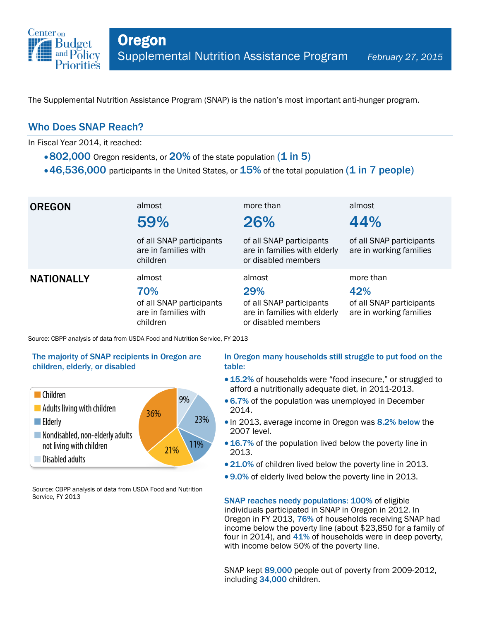

The Supplemental Nutrition Assistance Program (SNAP) is the nation's most important anti-hunger program.

## Who Does SNAP Reach?

In Fiscal Year 2014, it reached:

- $\cdot$  802,000 Oregon residents, or 20% of the state population (1 in 5)
- $\cdot$  46,536,000 participants in the United States, or  $15\%$  of the total population (1 in 7 people)

| <b>OREGON</b>     | almost<br>59%                                                                 | more than<br>26%                                                                                 | almost<br>44%                                                           |
|-------------------|-------------------------------------------------------------------------------|--------------------------------------------------------------------------------------------------|-------------------------------------------------------------------------|
|                   | of all SNAP participants<br>are in families with<br>children                  | of all SNAP participants<br>are in families with elderly<br>or disabled members                  | of all SNAP participants<br>are in working families                     |
| <b>NATIONALLY</b> | almost<br>70%<br>of all SNAP participants<br>are in families with<br>children | almost<br>29%<br>of all SNAP participants<br>are in families with elderly<br>or disabled members | more than<br>42%<br>of all SNAP participants<br>are in working families |

Source: CBPP analysis of data from USDA Food and Nutrition Service, FY 2013

### The majority of SNAP recipients in Oregon are children, elderly, or disabled



Source: CBPP analysis of data from USDA Food and Nutrition Service, FY 2013

### In Oregon many households still struggle to put food on the table:

- 15.2% of households were "food insecure," or struggled to afford a nutritionally adequate diet, in 2011-2013.
- 6.7% of the population was unemployed in December 2014.
- In 2013, average income in Oregon was 8.2% below the 2007 level.
- 16.7% of the population lived below the poverty line in 2013.
- 21.0% of children lived below the poverty line in 2013.
- 9.0% of elderly lived below the poverty line in 2013.

SNAP reaches needy populations: 100% of eligible individuals participated in SNAP in Oregon in 2012. In Oregon in FY 2013, 76% of households receiving SNAP had income below the poverty line (about \$23,850 for a family of four in 2014), and 41% of households were in deep poverty, with income below 50% of the poverty line.

SNAP kept 89,000 people out of poverty from 2009-2012, including 34,000 children.